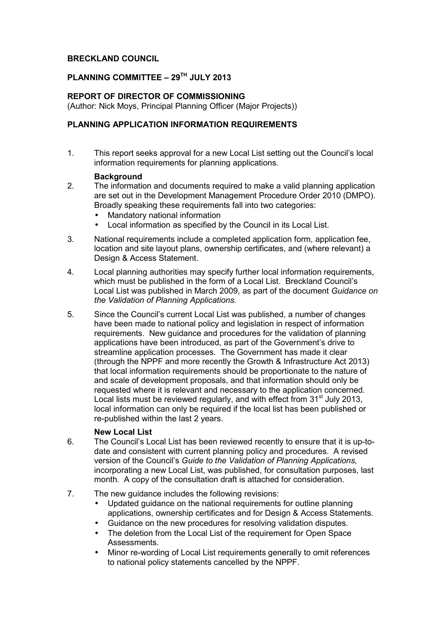## **BRECKLAND COUNCIL**

# **PLANNING COMMITTEE – 29TH JULY 2013**

## **REPORT OF DIRECTOR OF COMMISSIONING**

(Author: Nick Moys, Principal Planning Officer (Major Projects))

## **PLANNING APPLICATION INFORMATION REQUIREMENTS**

1. This report seeks approval for a new Local List setting out the Council's local information requirements for planning applications.

#### **Background**

- 2. The information and documents required to make a valid planning application are set out in the Development Management Procedure Order 2010 (DMPO). Broadly speaking these requirements fall into two categories:
	- Mandatory national information
	- Local information as specified by the Council in its Local List.
- 3. National requirements include a completed application form, application fee, location and site layout plans, ownership certificates, and (where relevant) a Design & Access Statement.
- 4. Local planning authorities may specify further local information requirements, which must be published in the form of a Local List. Breckland Council's Local List was published in March 2009, as part of the document *Guidance on the Validation of Planning Applications.*
- 5. Since the Council's current Local List was published, a number of changes have been made to national policy and legislation in respect of information requirements. New guidance and procedures for the validation of planning applications have been introduced, as part of the Government's drive to streamline application processes. The Government has made it clear (through the NPPF and more recently the Growth & Infrastructure Act 2013) that local information requirements should be proportionate to the nature of and scale of development proposals, and that information should only be requested where it is relevant and necessary to the application concerned. Local lists must be reviewed regularly, and with effect from 31<sup>st</sup> July 2013, local information can only be required if the local list has been published or re-published within the last 2 years.

#### **New Local List**

- 6. The Council's Local List has been reviewed recently to ensure that it is up-todate and consistent with current planning policy and procedures. A revised version of the Council's *Guide to the Validation of Planning Applications,*  incorporating a new Local List, was published, for consultation purposes, last month. A copy of the consultation draft is attached for consideration.
- 7. The new guidance includes the following revisions:
	- Updated guidance on the national requirements for outline planning applications, ownership certificates and for Design & Access Statements.
	- Guidance on the new procedures for resolving validation disputes.
	- The deletion from the Local List of the requirement for Open Space Assessments.
	- Minor re-wording of Local List requirements generally to omit references to national policy statements cancelled by the NPPF.